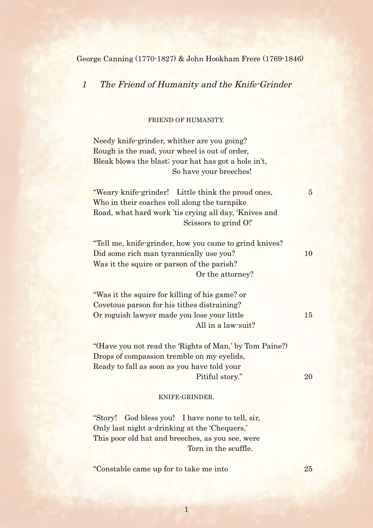George Canning (1770-1827) & John Hookham Frere (1769-1846)

1 The Friend of Humanity and the Knife-Grinder

## FRIEND OF HUMANITY.

Needy knife-grinder, whither are you going? Rough is the road, your wheel is out of order, Bleak blows the blast; your hat has got a hole in't, So have your breeches!

"Weary knife-grinder! Little think the proud ones, 5 Who in their coaches roll along the turnpike Road, what hard work 'tis crying all day, 'Knives and Scissors to grind O!'

"Tell me, knife-grinder, how you came to grind knives? Did some rich man tyrannically use you? 10 Was it the squire or parson of the parish? Or the attorney?

"Was it the squire for killing of his game? or Covetous parson for his tithes distraining? Or roguish lawyer made you lose your little 15 All in a law-suit?

"(Have you not read the 'Rights of Man,' by Tom Paine?) Drops of compassion tremble on my eyelids, Ready to fall as soon as you have told your Pitiful story." 20

## KNIFE-GRINDER.

"Story! God bless you! I have none to tell, sir, Only last night a-drinking at the 'Chequers,' This poor old hat and breeches, as you see, were Torn in the scuffle.

"Constable came up for to take me into 25